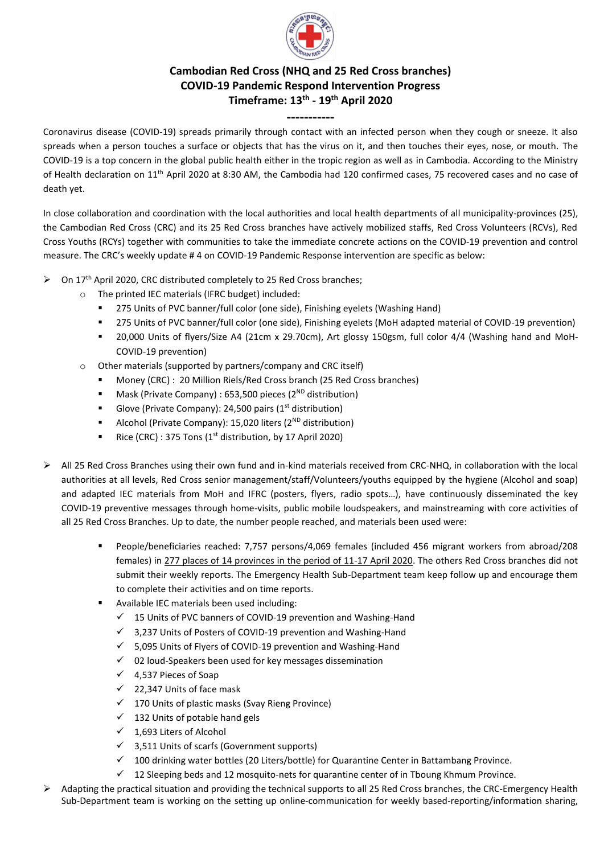

## **Cambodian Red Cross (NHQ and 25 Red Cross branches) COVID-19 Pandemic Respond Intervention Progress Timeframe: 13th - 19 th April 2020**

## **-----------**

Coronavirus disease (COVID-19) spreads primarily through contact with an infected person when they cough or sneeze. It also spreads when a person touches a surface or objects that has the virus on it, and then touches their eyes, nose, or mouth. The COVID-19 is a top concern in the global public health either in the tropic region as well as in Cambodia. According to the Ministry of Health declaration on 11th April 2020 at 8:30 AM, the Cambodia had 120 confirmed cases, 75 recovered cases and no case of death yet.

In close collaboration and coordination with the local authorities and local health departments of all municipality-provinces (25), the Cambodian Red Cross (CRC) and its 25 Red Cross branches have actively mobilized staffs, Red Cross Volunteers (RCVs), Red Cross Youths (RCYs) together with communities to take the immediate concrete actions on the COVID-19 prevention and control measure. The CRC's weekly update # 4 on COVID-19 Pandemic Response intervention are specific as below:

- ➢ On 17th April 2020, CRC distributed completely to 25 Red Cross branches;
	- o The printed IEC materials (IFRC budget) included:
		- 275 Units of PVC banner/full color (one side), Finishing eyelets (Washing Hand)
		- 275 Units of PVC banner/full color (one side), Finishing eyelets (MoH adapted material of COVID-19 prevention)
		- 20,000 Units of flyers/Size A4 (21cm x 29.70cm), Art glossy 150gsm, full color 4/4 (Washing hand and MoH-COVID-19 prevention)
	- o Other materials (supported by partners/company and CRC itself)
		- Money (CRC) : 20 Million Riels/Red Cross branch (25 Red Cross branches)
		- Mask (Private Company) : 653,500 pieces (2<sup>ND</sup> distribution)
		- **•** Glove (Private Company): 24,500 pairs  $(1<sup>st</sup>$  distribution)
		- Alcohol (Private Company): 15,020 liters (2<sup>ND</sup> distribution)
		- **■** Rice (CRC) : 375 Tons ( $1<sup>st</sup>$  distribution, by 17 April 2020)
- ➢ All 25 Red Cross Branches using their own fund and in-kind materials received from CRC-NHQ, in collaboration with the local authorities at all levels, Red Cross senior management/staff/Volunteers/youths equipped by the hygiene (Alcohol and soap) and adapted IEC materials from MoH and IFRC (posters, flyers, radio spots…), have continuously disseminated the key COVID-19 preventive messages through home-visits, public mobile loudspeakers, and mainstreaming with core activities of all 25 Red Cross Branches. Up to date, the number people reached, and materials been used were:
	- People/beneficiaries reached: 7,757 persons/4,069 females (included 456 migrant workers from abroad/208 females) in 277 places of 14 provinces in the period of 11-17 April 2020. The others Red Cross branches did not submit their weekly reports. The Emergency Health Sub-Department team keep follow up and encourage them to complete their activities and on time reports.
	- Available IEC materials been used including:
		- $\checkmark$  15 Units of PVC banners of COVID-19 prevention and Washing-Hand
		- ✓ 3,237 Units of Posters of COVID-19 prevention and Washing-Hand
		- $\checkmark$  5,095 Units of Flyers of COVID-19 prevention and Washing-Hand
		- ✓ 02 loud-Speakers been used for key messages dissemination
		- $\checkmark$  4,537 Pieces of Soap
		- ✓ 22,347 Units of face mask
		- ✓ 170 Units of plastic masks (Svay Rieng Province)
		- $\checkmark$  132 Units of potable hand gels
		- $\checkmark$  1,693 Liters of Alcohol
		- ✓ 3,511 Units of scarfs (Government supports)
		- ✓ 100 drinking water bottles (20 Liters/bottle) for Quarantine Center in Battambang Province.
		- $\checkmark$  12 Sleeping beds and 12 mosquito-nets for quarantine center of in Tboung Khmum Province.
- ➢ Adapting the practical situation and providing the technical supports to all 25 Red Cross branches, the CRC-Emergency Health Sub-Department team is working on the setting up online-communication for weekly based-reporting/information sharing,